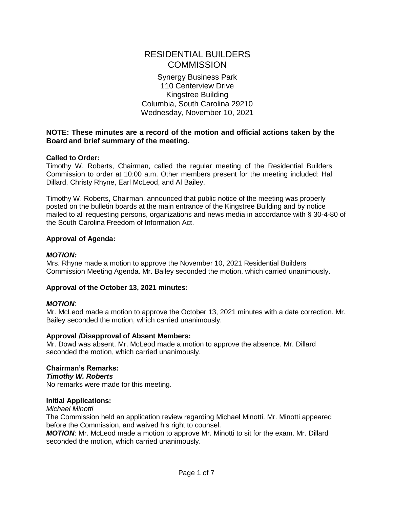# RESIDENTIAL BUILDERS **COMMISSION**

Synergy Business Park 110 Centerview Drive Kingstree Building Columbia, South Carolina 29210 Wednesday, November 10, 2021

## **NOTE: These minutes are a record of the motion and official actions taken by the Board and brief summary of the meeting.**

## **Called to Order:**

Timothy W. Roberts, Chairman, called the regular meeting of the Residential Builders Commission to order at 10:00 a.m. Other members present for the meeting included: Hal Dillard, Christy Rhyne, Earl McLeod, and Al Bailey.

Timothy W. Roberts, Chairman, announced that public notice of the meeting was properly posted on the bulletin boards at the main entrance of the Kingstree Building and by notice mailed to all requesting persons, organizations and news media in accordance with § 30-4-80 of the South Carolina Freedom of Information Act.

## **Approval of Agenda:**

## *MOTION:*

Mrs. Rhyne made a motion to approve the November 10, 2021 Residential Builders Commission Meeting Agenda. Mr. Bailey seconded the motion, which carried unanimously.

# **Approval of the October 13, 2021 minutes:**

## *MOTION*:

Mr. McLeod made a motion to approve the October 13, 2021 minutes with a date correction. Mr. Bailey seconded the motion, which carried unanimously.

## **Approval /Disapproval of Absent Members:**

Mr. Dowd was absent. Mr. McLeod made a motion to approve the absence. Mr. Dillard seconded the motion, which carried unanimously.

#### **Chairman's Remarks:** *Timothy W. Roberts*

No remarks were made for this meeting.

## **Initial Applications:**

*Michael Minotti*

The Commission held an application review regarding Michael Minotti. Mr. Minotti appeared before the Commission, and waived his right to counsel.

*MOTION*: Mr. McLeod made a motion to approve Mr. Minotti to sit for the exam. Mr. Dillard seconded the motion, which carried unanimously.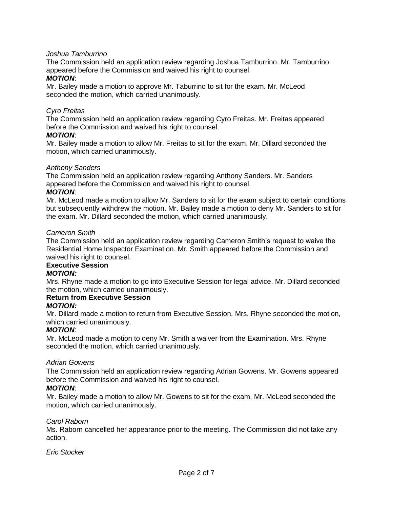## *Joshua Tamburrino*

The Commission held an application review regarding Joshua Tamburrino. Mr. Tamburrino appeared before the Commission and waived his right to counsel.

#### *MOTION*:

Mr. Bailey made a motion to approve Mr. Taburrino to sit for the exam. Mr. McLeod seconded the motion, which carried unanimously.

## *Cyro Freitas*

The Commission held an application review regarding Cyro Freitas. Mr. Freitas appeared before the Commission and waived his right to counsel.

#### *MOTION*:

Mr. Bailey made a motion to allow Mr. Freitas to sit for the exam. Mr. Dillard seconded the motion, which carried unanimously.

#### *Anthony Sanders*

The Commission held an application review regarding Anthony Sanders. Mr. Sanders appeared before the Commission and waived his right to counsel.

#### *MOTION*:

Mr. McLeod made a motion to allow Mr. Sanders to sit for the exam subject to certain conditions but subsequently withdrew the motion. Mr. Bailey made a motion to deny Mr. Sanders to sit for the exam. Mr. Dillard seconded the motion, which carried unanimously.

#### *Cameron Smith*

The Commission held an application review regarding Cameron Smith's request to waive the Residential Home Inspector Examination. Mr. Smith appeared before the Commission and waived his right to counsel.

## **Executive Session**

## *MOTION:*

Mrs. Rhyne made a motion to go into Executive Session for legal advice. Mr. Dillard seconded the motion, which carried unanimously.

# **Return from Executive Session**

## *MOTION:*

Mr. Dillard made a motion to return from Executive Session. Mrs. Rhyne seconded the motion, which carried unanimously.

#### *MOTION*:

Mr. McLeod made a motion to deny Mr. Smith a waiver from the Examination. Mrs. Rhyne seconded the motion, which carried unanimously.

#### *Adrian Gowens*

The Commission held an application review regarding Adrian Gowens. Mr. Gowens appeared before the Commission and waived his right to counsel.

## *MOTION*:

Mr. Bailey made a motion to allow Mr. Gowens to sit for the exam. Mr. McLeod seconded the motion, which carried unanimously.

#### *Carol Raborn*

Ms. Raborn cancelled her appearance prior to the meeting. The Commission did not take any action.

*Eric Stocker*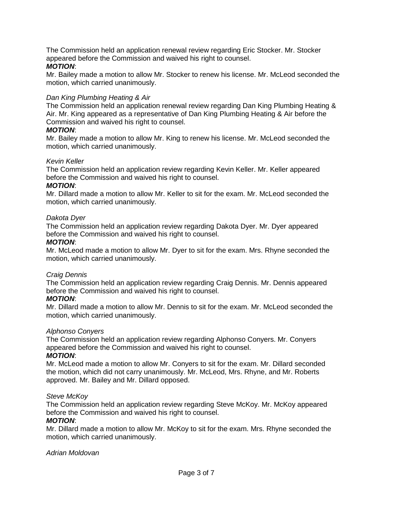The Commission held an application renewal review regarding Eric Stocker. Mr. Stocker appeared before the Commission and waived his right to counsel.

## *MOTION*:

Mr. Bailey made a motion to allow Mr. Stocker to renew his license. Mr. McLeod seconded the motion, which carried unanimously.

## *Dan King Plumbing Heating & Air*

The Commission held an application renewal review regarding Dan King Plumbing Heating & Air. Mr. King appeared as a representative of Dan King Plumbing Heating & Air before the Commission and waived his right to counsel.

## *MOTION*:

Mr. Bailey made a motion to allow Mr. King to renew his license. Mr. McLeod seconded the motion, which carried unanimously.

## *Kevin Keller*

The Commission held an application review regarding Kevin Keller. Mr. Keller appeared before the Commission and waived his right to counsel.

## *MOTION*:

Mr. Dillard made a motion to allow Mr. Keller to sit for the exam. Mr. McLeod seconded the motion, which carried unanimously.

## *Dakota Dyer*

The Commission held an application review regarding Dakota Dyer. Mr. Dyer appeared before the Commission and waived his right to counsel.

## *MOTION*:

Mr. McLeod made a motion to allow Mr. Dyer to sit for the exam. Mrs. Rhyne seconded the motion, which carried unanimously.

## *Craig Dennis*

The Commission held an application review regarding Craig Dennis. Mr. Dennis appeared before the Commission and waived his right to counsel.

## *MOTION*:

Mr. Dillard made a motion to allow Mr. Dennis to sit for the exam. Mr. McLeod seconded the motion, which carried unanimously.

## *Alphonso Conyers*

The Commission held an application review regarding Alphonso Conyers. Mr. Conyers appeared before the Commission and waived his right to counsel. *MOTION*:

Mr. McLeod made a motion to allow Mr. Conyers to sit for the exam. Mr. Dillard seconded the motion, which did not carry unanimously. Mr. McLeod, Mrs. Rhyne, and Mr. Roberts approved. Mr. Bailey and Mr. Dillard opposed.

## *Steve McKoy*

The Commission held an application review regarding Steve McKoy. Mr. McKoy appeared before the Commission and waived his right to counsel.

## *MOTION*:

Mr. Dillard made a motion to allow Mr. McKoy to sit for the exam. Mrs. Rhyne seconded the motion, which carried unanimously.

## *Adrian Moldovan*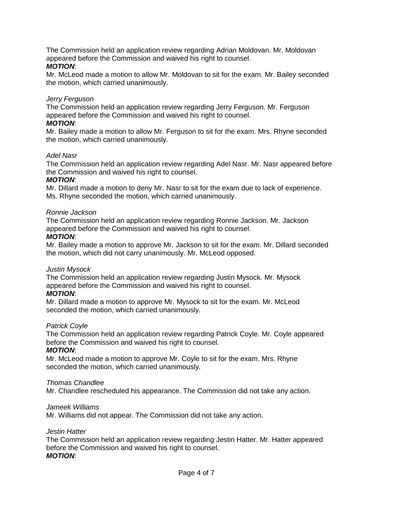The Commission held an application review regarding Adrian Moldovan. Mr. Moldovan appeared before the Commission and waived his right to counsel.

## *MOTION*:

Mr. McLeod made a motion to allow Mr. Moldovan to sit for the exam. Mr. Bailey seconded the motion, which carried unanimously.

## *Jerry Ferguson*

The Commission held an application review regarding Jerry Ferguson. Mr. Ferguson appeared before the Commission and waived his right to counsel.

## *MOTION*:

Mr. Bailey made a motion to allow Mr. Ferguson to sit for the exam. Mrs. Rhyne seconded the motion, which carried unanimously.

## *Adel Nasr*

The Commission held an application review regarding Adel Nasr. Mr. Nasr appeared before the Commission and waived his right to counsel.

## *MOTION*:

Mr. Dillard made a motion to deny Mr. Nasr to sit for the exam due to lack of experience. Ms. Rhyne seconded the motion, which carried unanimously.

## *Ronnie Jackson*

The Commission held an application review regarding Ronnie Jackson. Mr. Jackson appeared before the Commission and waived his right to counsel.

## *MOTION*:

Mr. Bailey made a motion to approve Mr. Jackson to sit for the exam. Mr. Dillard seconded the motion, which did not carry unanimously. Mr. McLeod opposed.

## *Justin Mysock*

The Commission held an application review regarding Justin Mysock. Mr. Mysock appeared before the Commission and waived his right to counsel.

## *MOTION*:

Mr. Dillard made a motion to approve Mr. Mysock to sit for the exam. Mr. McLeod seconded the motion, which carried unanimously.

## *Patrick Coyle*

The Commission held an application review regarding Patrick Coyle. Mr. Coyle appeared before the Commission and waived his right to counsel.

## *MOTION*:

Mr. McLeod made a motion to approve Mr. Coyle to sit for the exam. Mrs. Rhyne seconded the motion, which carried unanimously.

## *Thomas Chandlee*

Mr. Chandlee rescheduled his appearance. The Commission did not take any action.

## *Jameek Williams*

Mr. Williams did not appear. The Commission did not take any action.

## *Jestin Hatter*

The Commission held an application review regarding Jestin Hatter. Mr. Hatter appeared before the Commission and waived his right to counsel. *MOTION*: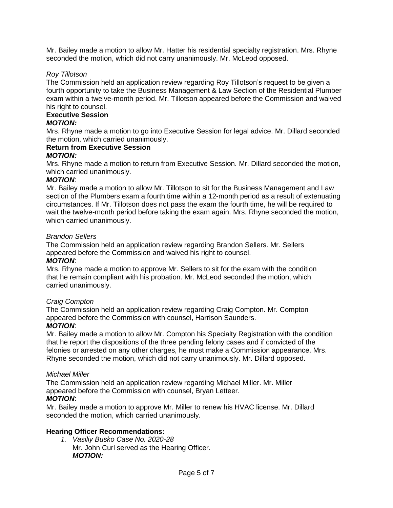Mr. Bailey made a motion to allow Mr. Hatter his residential specialty registration. Mrs. Rhyne seconded the motion, which did not carry unanimously. Mr. McLeod opposed.

## *Roy Tillotson*

The Commission held an application review regarding Roy Tillotson's request to be given a fourth opportunity to take the Business Management & Law Section of the Residential Plumber exam within a twelve-month period. Mr. Tillotson appeared before the Commission and waived his right to counsel.

# **Executive Session**

## *MOTION:*

Mrs. Rhyne made a motion to go into Executive Session for legal advice. Mr. Dillard seconded the motion, which carried unanimously.

#### **Return from Executive Session** *MOTION:*

Mrs. Rhyne made a motion to return from Executive Session. Mr. Dillard seconded the motion, which carried unanimously.

## *MOTION*:

Mr. Bailey made a motion to allow Mr. Tillotson to sit for the Business Management and Law section of the Plumbers exam a fourth time within a 12-month period as a result of extenuating circumstances. If Mr. Tillotson does not pass the exam the fourth time, he will be required to wait the twelve-month period before taking the exam again. Mrs. Rhyne seconded the motion, which carried unanimously.

## *Brandon Sellers*

The Commission held an application review regarding Brandon Sellers. Mr. Sellers appeared before the Commission and waived his right to counsel.

# *MOTION*:

Mrs. Rhyne made a motion to approve Mr. Sellers to sit for the exam with the condition that he remain compliant with his probation. Mr. McLeod seconded the motion, which carried unanimously.

## *Craig Compton*

The Commission held an application review regarding Craig Compton. Mr. Compton appeared before the Commission with counsel, Harrison Saunders.

## *MOTION*:

Mr. Bailey made a motion to allow Mr. Compton his Specialty Registration with the condition that he report the dispositions of the three pending felony cases and if convicted of the felonies or arrested on any other charges, he must make a Commission appearance. Mrs. Rhyne seconded the motion, which did not carry unanimously. Mr. Dillard opposed.

## *Michael Miller*

The Commission held an application review regarding Michael Miller. Mr. Miller appeared before the Commission with counsel, Bryan Letteer. *MOTION*:

Mr. Bailey made a motion to approve Mr. Miller to renew his HVAC license. Mr. Dillard seconded the motion, which carried unanimously.

## **Hearing Officer Recommendations:**

*1. Vasiliy Busko Case No. 2020-28* Mr. John Curl served as the Hearing Officer. *MOTION:*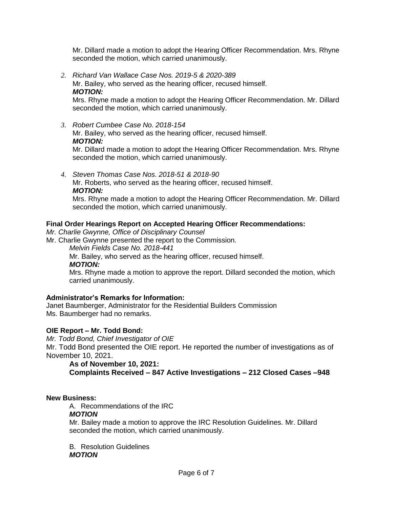Mr. Dillard made a motion to adopt the Hearing Officer Recommendation. Mrs. Rhyne seconded the motion, which carried unanimously.

*2. Richard Van Wallace Case Nos. 2019-5 & 2020-389* Mr. Bailey, who served as the hearing officer, recused himself. *MOTION:*

Mrs. Rhyne made a motion to adopt the Hearing Officer Recommendation. Mr. Dillard seconded the motion, which carried unanimously.

- *3. Robert Cumbee Case No. 2018-154* Mr. Bailey, who served as the hearing officer, recused himself. *MOTION:* Mr. Dillard made a motion to adopt the Hearing Officer Recommendation. Mrs. Rhyne seconded the motion, which carried unanimously.
- *4. Steven Thomas Case Nos. 2018-51 & 2018-90*

Mr. Roberts, who served as the hearing officer, recused himself. *MOTION:*

Mrs. Rhyne made a motion to adopt the Hearing Officer Recommendation. Mr. Dillard seconded the motion, which carried unanimously.

# **Final Order Hearings Report on Accepted Hearing Officer Recommendations:**

*Mr. Charlie Gwynne, Office of Disciplinary Counsel*

Mr. Charlie Gwynne presented the report to the Commission.

*Melvin Fields Case No. 2018-441*

Mr. Bailey, who served as the hearing officer, recused himself.

*MOTION:*

Mrs. Rhyne made a motion to approve the report. Dillard seconded the motion, which carried unanimously.

# **Administrator's Remarks for Information:**

Janet Baumberger, Administrator for the Residential Builders Commission Ms. Baumberger had no remarks.

# **OIE Report – Mr. Todd Bond:**

*Mr. Todd Bond, Chief Investigator of OIE*

Mr. Todd Bond presented the OIE report. He reported the number of investigations as of November 10, 2021.

# **As of November 10, 2021:**

**Complaints Received – 847 Active Investigations – 212 Closed Cases –948**

# **New Business:**

A. Recommendations of the IRC

# *MOTION*

Mr. Bailey made a motion to approve the IRC Resolution Guidelines. Mr. Dillard seconded the motion, which carried unanimously.

B. Resolution Guidelines *MOTION*